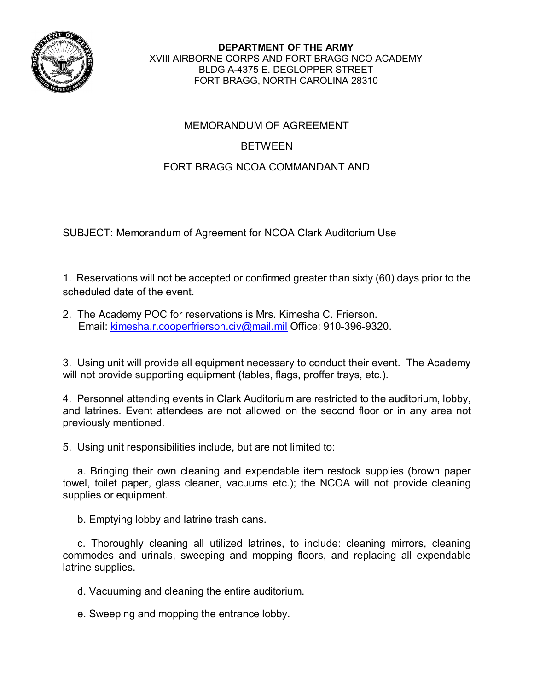

**DEPARTMENT OF THE ARMY** XVIII AIRBORNE CORPS AND FORT BRAGG NCO ACADEMY BLDG A-4375 E. DEGLOPPER STREET FORT BRAGG, NORTH CAROLINA 28310

## MEMORANDUM OF AGREEMENT

## BETWEEN

## FORT BRAGG NCOA COMMANDANT AND

SUBJECT: Memorandum of Agreement for NCOA Clark Auditorium Use

1. Reservations will not be accepted or confirmed greater than sixty (60) days prior to the scheduled date of the event.

2. The Academy POC for reservations is Mrs. Kimesha C. Frierson. Email: [kimesha.r.cooperfrierson.civ@mail.mil](mailto:kimesha.r.cooperfrierson.civ@mail.mil) Office: 910-396-9320.

3. Using unit will provide all equipment necessary to conduct their event. The Academy will not provide supporting equipment (tables, flags, proffer trays, etc.).

4. Personnel attending events in Clark Auditorium are restricted to the auditorium, lobby, and latrines. Event attendees are not allowed on the second floor or in any area not previously mentioned.

5. Using unit responsibilities include, but are not limited to:

 a. Bringing their own cleaning and expendable item restock supplies (brown paper towel, toilet paper, glass cleaner, vacuums etc.); the NCOA will not provide cleaning supplies or equipment.

b. Emptying lobby and latrine trash cans.

 c. Thoroughly cleaning all utilized latrines, to include: cleaning mirrors, cleaning commodes and urinals, sweeping and mopping floors, and replacing all expendable latrine supplies.

d. Vacuuming and cleaning the entire auditorium.

e. Sweeping and mopping the entrance lobby.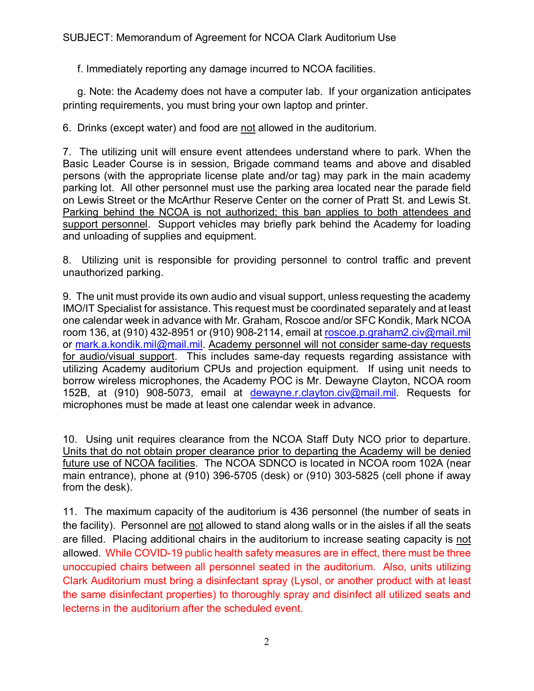f. Immediately reporting any damage incurred to NCOA facilities.

 g. Note: the Academy does not have a computer lab. If your organization anticipates printing requirements, you must bring your own laptop and printer.

6. Drinks (except water) and food are not allowed in the auditorium.

7. The utilizing unit will ensure event attendees understand where to park. When the Basic Leader Course is in session, Brigade command teams and above and disabled persons (with the appropriate license plate and/or tag) may park in the main academy parking lot. All other personnel must use the parking area located near the parade field on Lewis Street or the McArthur Reserve Center on the corner of Pratt St. and Lewis St. Parking behind the NCOA is not authorized; this ban applies to both attendees and support personnel. Support vehicles may briefly park behind the Academy for loading and unloading of supplies and equipment.

8. Utilizing unit is responsible for providing personnel to control traffic and prevent unauthorized parking.

9. The unit must provide its own audio and visual support, unless requesting the academy IMO/IT Specialist for assistance. This request must be coordinated separately and at least one calendar week in advance with Mr. Graham, Roscoe and/or SFC Kondik, Mark NCOA room 136, at (910) 432-8951 or (910) 908-2114, email at [roscoe.p.graham2.civ@mail.mil](mailto:roscoe.p.graham2.civ@mail.mil) or [mark.a.kondik.mil@mail.mil.](mailto:mark.a.kondik.mil@mail.mil) Academy personnel will not consider same-day requests for audio/visual support. This includes same-day requests regarding assistance with utilizing Academy auditorium CPUs and projection equipment. If using unit needs to borrow wireless microphones, the Academy POC is Mr. Dewayne Clayton, NCOA room 152B, at (910) 908-5073, email at [dewayne.r.clayton.civ@mail.mil.](mailto:dewayne.r.clayton.civ@mail.mil) Requests for microphones must be made at least one calendar week in advance.

10. Using unit requires clearance from the NCOA Staff Duty NCO prior to departure. Units that do not obtain proper clearance prior to departing the Academy will be denied future use of NCOA facilities. The NCOA SDNCO is located in NCOA room 102A (near main entrance), phone at (910) 396-5705 (desk) or (910) 303-5825 (cell phone if away from the desk).

11. The maximum capacity of the auditorium is 436 personnel (the number of seats in the facility). Personnel are not allowed to stand along walls or in the aisles if all the seats are filled. Placing additional chairs in the auditorium to increase seating capacity is not allowed. While COVID-19 public health safety measures are in effect, there must be three unoccupied chairs between all personnel seated in the auditorium. Also, units utilizing Clark Auditorium must bring a disinfectant spray (Lysol, or another product with at least the same disinfectant properties) to thoroughly spray and disinfect all utilized seats and lecterns in the auditorium after the scheduled event.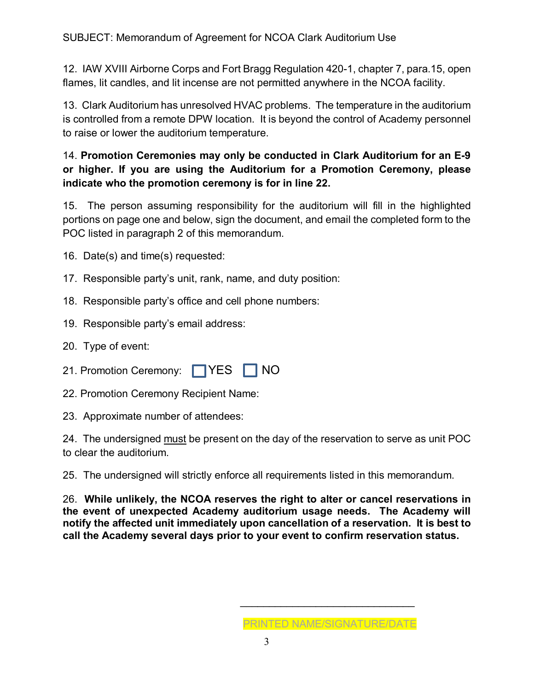12. IAW XVIII Airborne Corps and Fort Bragg Regulation 420-1, chapter 7, para.15, open flames, lit candles, and lit incense are not permitted anywhere in the NCOA facility.

13. Clark Auditorium has unresolved HVAC problems. The temperature in the auditorium is controlled from a remote DPW location. It is beyond the control of Academy personnel to raise or lower the auditorium temperature.

## 14. **Promotion Ceremonies may only be conducted in Clark Auditorium for an E-9 or higher. If you are using the Auditorium for a Promotion Ceremony, please indicate who the promotion ceremony is for in line 22.**

15. The person assuming responsibility for the auditorium will fill in the highlighted portions on page one and below, sign the document, and email the completed form to the POC listed in paragraph 2 of this memorandum.

16. Date(s) and time(s) requested:

- 17. Responsible party's unit, rank, name, and duty position:
- 18. Responsible party's office and cell phone numbers:
- 19. Responsible party's email address:
- 20. Type of event:
- 21. Promotion Ceremony: TYES NO
- 22. Promotion Ceremony Recipient Name:

23. Approximate number of attendees:

24. The undersigned must be present on the day of the reservation to serve as unit POC to clear the auditorium.

25. The undersigned will strictly enforce all requirements listed in this memorandum.

26. **While unlikely, the NCOA reserves the right to alter or cancel reservations in the event of unexpected Academy auditorium usage needs. The Academy will notify the affected unit immediately upon cancellation of a reservation. It is best to call the Academy several days prior to your event to confirm reservation status.** 

\_\_\_\_\_\_\_\_\_\_\_\_\_\_\_\_\_\_\_\_\_\_\_\_\_\_\_\_\_\_

PRINTED NAME/SIGNATURE/DATE